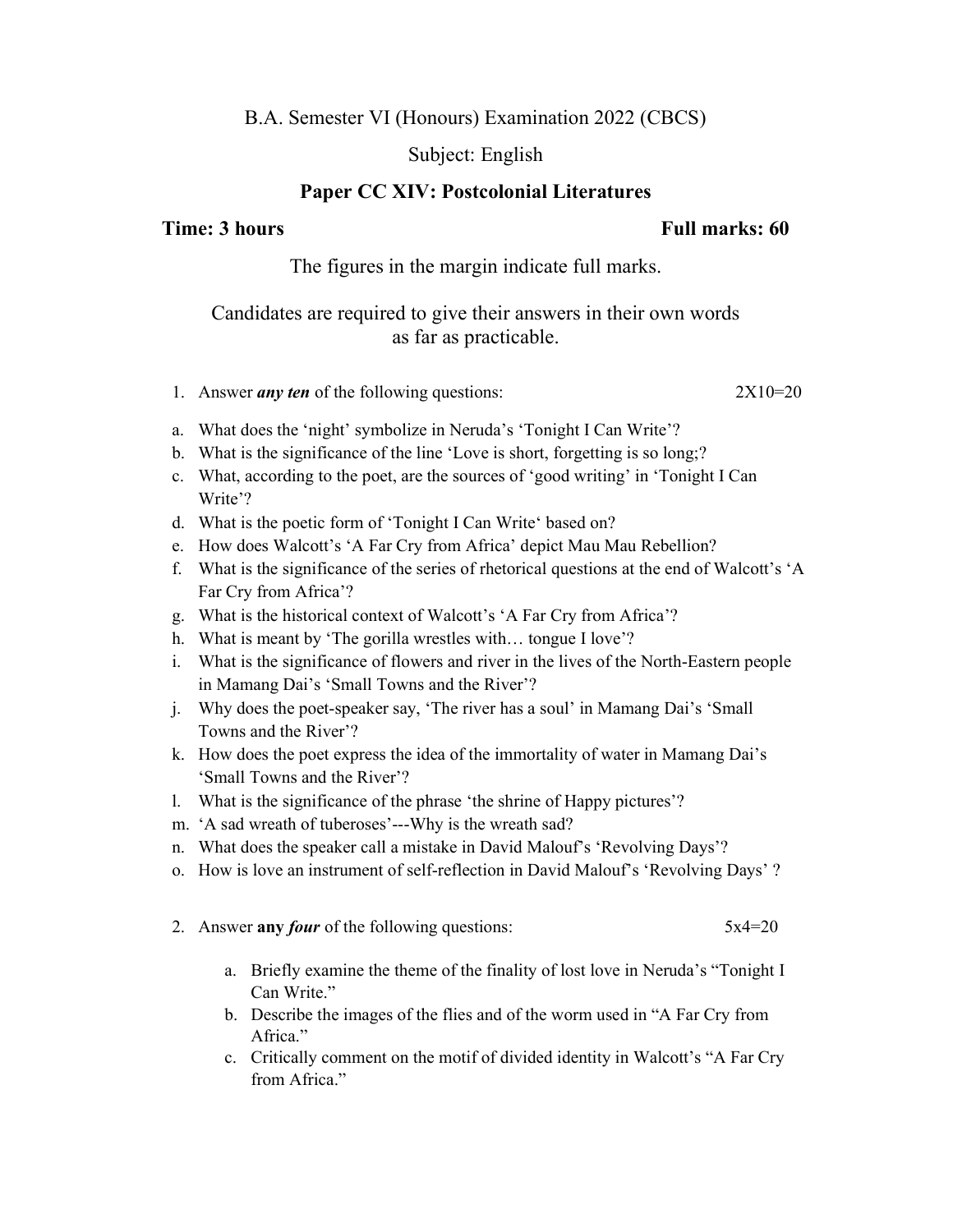# B.A. Semester VI (Honours) Examination 2022 (CBCS)

### Subject: English

## Paper CC XIV: Postcolonial Literatures

# Time: 3 hours Full marks: 60

The figures in the margin indicate full marks.

# Candidates are required to give their answers in their own words as far as practicable.

- 1. Answer *any ten* of the following questions: 2X10=20
- a. What does the 'night' symbolize in Neruda's 'Tonight I Can Write'?
- b. What is the significance of the line 'Love is short, forgetting is so long;?
- c. What, according to the poet, are the sources of 'good writing' in 'Tonight I Can Write'?
- d. What is the poetic form of 'Tonight I Can Write' based on?
- e. How does Walcott's 'A Far Cry from Africa' depict Mau Mau Rebellion?
- f. What is the significance of the series of rhetorical questions at the end of Walcott's 'A Far Cry from Africa'?
- g. What is the historical context of Walcott's 'A Far Cry from Africa'?
- h. What is meant by 'The gorilla wrestles with… tongue I love'?
- i. What is the significance of flowers and river in the lives of the North-Eastern people in Mamang Dai's 'Small Towns and the River'?
- j. Why does the poet-speaker say, 'The river has a soul' in Mamang Dai's 'Small Towns and the River'?
- k. How does the poet express the idea of the immortality of water in Mamang Dai's 'Small Towns and the River'?
- l. What is the significance of the phrase 'the shrine of Happy pictures'?
- m. 'A sad wreath of tuberoses'---Why is the wreath sad?
- n. What does the speaker call a mistake in David Malouf's 'Revolving Days'?
- o. How is love an instrument of self-reflection in David Malouf's 'Revolving Days' ?
- 2. Answer any *four* of the following questions:  $5x4=20$ 
	- a. Briefly examine the theme of the finality of lost love in Neruda's "Tonight I Can Write."
	- b. Describe the images of the flies and of the worm used in "A Far Cry from Africa."
	- c. Critically comment on the motif of divided identity in Walcott's "A Far Cry from Africa."